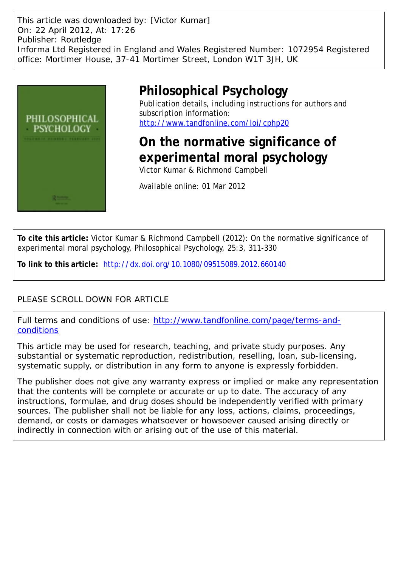This article was downloaded by: [Victor Kumar] On: 22 April 2012, At: 17:26 Publisher: Routledge Informa Ltd Registered in England and Wales Registered Number: 1072954 Registered office: Mortimer House, 37-41 Mortimer Street, London W1T 3JH, UK



## **Philosophical Psychology**

Publication details, including instructions for authors and subscription information: <http://www.tandfonline.com/loi/cphp20>

# **On the normative significance of experimental moral psychology**

Victor Kumar & Richmond Campbell

Available online: 01 Mar 2012

**To cite this article:** Victor Kumar & Richmond Campbell (2012): On the normative significance of experimental moral psychology, Philosophical Psychology, 25:3, 311-330

**To link to this article:** <http://dx.doi.org/10.1080/09515089.2012.660140>

### PLEASE SCROLL DOWN FOR ARTICLE

Full terms and conditions of use: [http://www.tandfonline.com/page/terms-and](http://www.tandfonline.com/page/terms-and-conditions)[conditions](http://www.tandfonline.com/page/terms-and-conditions)

This article may be used for research, teaching, and private study purposes. Any substantial or systematic reproduction, redistribution, reselling, loan, sub-licensing, systematic supply, or distribution in any form to anyone is expressly forbidden.

The publisher does not give any warranty express or implied or make any representation that the contents will be complete or accurate or up to date. The accuracy of any instructions, formulae, and drug doses should be independently verified with primary sources. The publisher shall not be liable for any loss, actions, claims, proceedings, demand, or costs or damages whatsoever or howsoever caused arising directly or indirectly in connection with or arising out of the use of this material.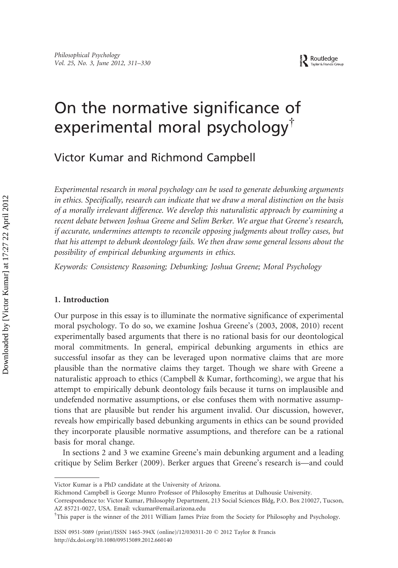# On the normative significance of experimental moral psychology<sup>†</sup>

Victor Kumar and Richmond Campbell

Experimental research in moral psychology can be used to generate debunking arguments in ethics. Specifically, research can indicate that we draw a moral distinction on the basis of a morally irrelevant difference. We develop this naturalistic approach by examining a recent debate between Joshua Greene and Selim Berker. We argue that Greene's research, if accurate, undermines attempts to reconcile opposing judgments about trolley cases, but that his attempt to debunk deontology fails. We then draw some general lessons about the possibility of empirical debunking arguments in ethics.

Keywords: Consistency Reasoning; Debunking; Joshua Greene; Moral Psychology

#### 1. Introduction

Our purpose in this essay is to illuminate the normative significance of experimental moral psychology. To do so, we examine Joshua Greene's (2003, 2008, 2010) recent experimentally based arguments that there is no rational basis for our deontological moral commitments. In general, empirical debunking arguments in ethics are successful insofar as they can be leveraged upon normative claims that are more plausible than the normative claims they target. Though we share with Greene a naturalistic approach to ethics (Campbell & Kumar, forthcoming), we argue that his attempt to empirically debunk deontology fails because it turns on implausible and undefended normative assumptions, or else confuses them with normative assumptions that are plausible but render his argument invalid. Our discussion, however, reveals how empirically based debunking arguments in ethics can be sound provided they incorporate plausible normative assumptions, and therefore can be a rational basis for moral change.

In sections 2 and 3 we examine Greene's main debunking argument and a leading critique by Selim Berker (2009). Berker argues that Greene's research is—and could

Victor Kumar is a PhD candidate at the University of Arizona.

Richmond Campbell is George Munro Professor of Philosophy Emeritus at Dalhousie University.

Correspondence to: Victor Kumar, Philosophy Department, 213 Social Sciences Bldg, P.O. Box 210027, Tucson, AZ 85721-0027, USA. Email: vckumar@email.arizona.edu

<sup>&</sup>lt;sup>†</sup>This paper is the winner of the 2011 William James Prize from the Society for Philosophy and Psychology.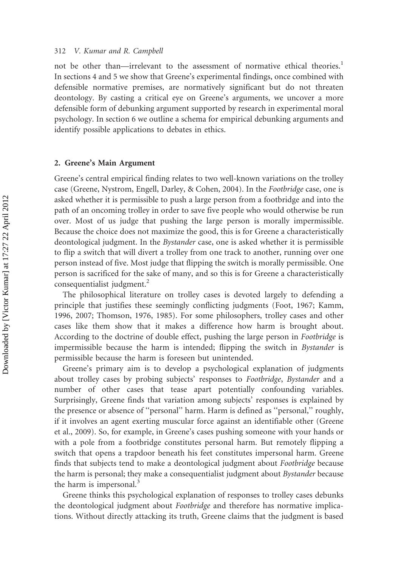not be other than—irrelevant to the assessment of normative ethical theories.<sup>1</sup> In sections 4 and 5 we show that Greene's experimental findings, once combined with defensible normative premises, are normatively significant but do not threaten deontology. By casting a critical eye on Greene's arguments, we uncover a more defensible form of debunking argument supported by research in experimental moral psychology. In section 6 we outline a schema for empirical debunking arguments and identify possible applications to debates in ethics.

#### 2. Greene's Main Argument

Greene's central empirical finding relates to two well-known variations on the trolley case (Greene, Nystrom, Engell, Darley, & Cohen, 2004). In the Footbridge case, one is asked whether it is permissible to push a large person from a footbridge and into the path of an oncoming trolley in order to save five people who would otherwise be run over. Most of us judge that pushing the large person is morally impermissible. Because the choice does not maximize the good, this is for Greene a characteristically deontological judgment. In the Bystander case, one is asked whether it is permissible to flip a switch that will divert a trolley from one track to another, running over one person instead of five. Most judge that flipping the switch is morally permissible. One person is sacrificed for the sake of many, and so this is for Greene a characteristically consequentialist judgment.<sup>2</sup>

The philosophical literature on trolley cases is devoted largely to defending a principle that justifies these seemingly conflicting judgments (Foot, 1967; Kamm, 1996, 2007; Thomson, 1976, 1985). For some philosophers, trolley cases and other cases like them show that it makes a difference how harm is brought about. According to the doctrine of double effect, pushing the large person in Footbridge is impermissible because the harm is intended; flipping the switch in Bystander is permissible because the harm is foreseen but unintended.

Greene's primary aim is to develop a psychological explanation of judgments about trolley cases by probing subjects' responses to Footbridge, Bystander and a number of other cases that tease apart potentially confounding variables. Surprisingly, Greene finds that variation among subjects' responses is explained by the presence or absence of ''personal'' harm. Harm is defined as ''personal,'' roughly, if it involves an agent exerting muscular force against an identifiable other (Greene et al., 2009). So, for example, in Greene's cases pushing someone with your hands or with a pole from a footbridge constitutes personal harm. But remotely flipping a switch that opens a trapdoor beneath his feet constitutes impersonal harm. Greene finds that subjects tend to make a deontological judgment about Footbridge because the harm is personal; they make a consequentialist judgment about Bystander because the harm is impersonal. $3$ 

Greene thinks this psychological explanation of responses to trolley cases debunks the deontological judgment about *Footbridge* and therefore has normative implications. Without directly attacking its truth, Greene claims that the judgment is based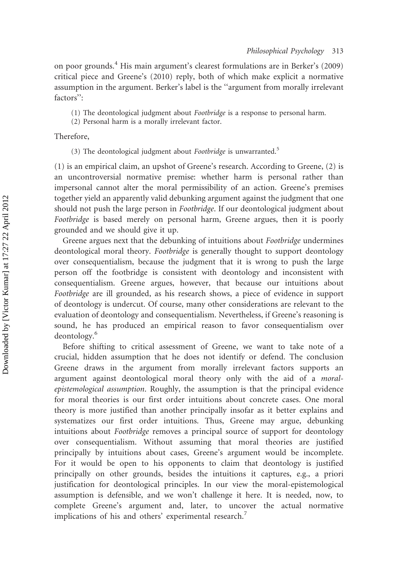on poor grounds.<sup>4</sup> His main argument's clearest formulations are in Berker's (2009) critical piece and Greene's (2010) reply, both of which make explicit a normative assumption in the argument. Berker's label is the ''argument from morally irrelevant factors'':

- (1) The deontological judgment about Footbridge is a response to personal harm.
- (2) Personal harm is a morally irrelevant factor.

Therefore,

(3) The deontological judgment about Footbridge is unwarranted.<sup>5</sup>

(1) is an empirical claim, an upshot of Greene's research. According to Greene, (2) is an uncontroversial normative premise: whether harm is personal rather than impersonal cannot alter the moral permissibility of an action. Greene's premises together yield an apparently valid debunking argument against the judgment that one should not push the large person in *Footbridge*. If our deontological judgment about Footbridge is based merely on personal harm, Greene argues, then it is poorly grounded and we should give it up.

Greene argues next that the debunking of intuitions about Footbridge undermines deontological moral theory. Footbridge is generally thought to support deontology over consequentialism, because the judgment that it is wrong to push the large person off the footbridge is consistent with deontology and inconsistent with consequentialism. Greene argues, however, that because our intuitions about Footbridge are ill grounded, as his research shows, a piece of evidence in support of deontology is undercut. Of course, many other considerations are relevant to the evaluation of deontology and consequentialism. Nevertheless, if Greene's reasoning is sound, he has produced an empirical reason to favor consequentialism over deontology.<sup>6</sup>

Before shifting to critical assessment of Greene, we want to take note of a crucial, hidden assumption that he does not identify or defend. The conclusion Greene draws in the argument from morally irrelevant factors supports an argument against deontological moral theory only with the aid of a moralepistemological assumption. Roughly, the assumption is that the principal evidence for moral theories is our first order intuitions about concrete cases. One moral theory is more justified than another principally insofar as it better explains and systematizes our first order intuitions. Thus, Greene may argue, debunking intuitions about *Footbridge* removes a principal source of support for deontology over consequentialism. Without assuming that moral theories are justified principally by intuitions about cases, Greene's argument would be incomplete. For it would be open to his opponents to claim that deontology is justified principally on other grounds, besides the intuitions it captures, e.g., a priori justification for deontological principles. In our view the moral-epistemological assumption is defensible, and we won't challenge it here. It is needed, now, to complete Greene's argument and, later, to uncover the actual normative implications of his and others' experimental research.<sup>7</sup>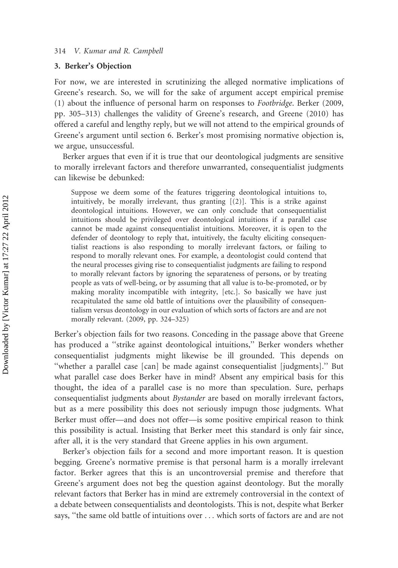#### 3. Berker's Objection

For now, we are interested in scrutinizing the alleged normative implications of Greene's research. So, we will for the sake of argument accept empirical premise (1) about the influence of personal harm on responses to Footbridge. Berker (2009, pp. 305–313) challenges the validity of Greene's research, and Greene (2010) has offered a careful and lengthy reply, but we will not attend to the empirical grounds of Greene's argument until section 6. Berker's most promising normative objection is, we argue, unsuccessful.

Berker argues that even if it is true that our deontological judgments are sensitive to morally irrelevant factors and therefore unwarranted, consequentialist judgments can likewise be debunked:

Suppose we deem some of the features triggering deontological intuitions to, intuitively, be morally irrelevant, thus granting [(2)]. This is a strike against deontological intuitions. However, we can only conclude that consequentialist intuitions should be privileged over deontological intuitions if a parallel case cannot be made against consequentialist intuitions. Moreover, it is open to the defender of deontology to reply that, intuitively, the faculty eliciting consequentialist reactions is also responding to morally irrelevant factors, or failing to respond to morally relevant ones. For example, a deontologist could contend that the neural processes giving rise to consequentialist judgments are failing to respond to morally relevant factors by ignoring the separateness of persons, or by treating people as vats of well-being, or by assuming that all value is to-be-promoted, or by making morality incompatible with integrity, [etc.]. So basically we have just recapitulated the same old battle of intuitions over the plausibility of consequentialism versus deontology in our evaluation of which sorts of factors are and are not morally relevant. (2009, pp. 324–325)

Berker's objection fails for two reasons. Conceding in the passage above that Greene has produced a ''strike against deontological intuitions,'' Berker wonders whether consequentialist judgments might likewise be ill grounded. This depends on ''whether a parallel case [can] be made against consequentialist [judgments].'' But what parallel case does Berker have in mind? Absent any empirical basis for this thought, the idea of a parallel case is no more than speculation. Sure, perhaps consequentialist judgments about Bystander are based on morally irrelevant factors, but as a mere possibility this does not seriously impugn those judgments. What Berker must offer—and does not offer—is some positive empirical reason to think this possibility is actual. Insisting that Berker meet this standard is only fair since, after all, it is the very standard that Greene applies in his own argument.

Berker's objection fails for a second and more important reason. It is question begging. Greene's normative premise is that personal harm is a morally irrelevant factor. Berker agrees that this is an uncontroversial premise and therefore that Greene's argument does not beg the question against deontology. But the morally relevant factors that Berker has in mind are extremely controversial in the context of a debate between consequentialists and deontologists. This is not, despite what Berker says, ''the same old battle of intuitions over ... which sorts of factors are and are not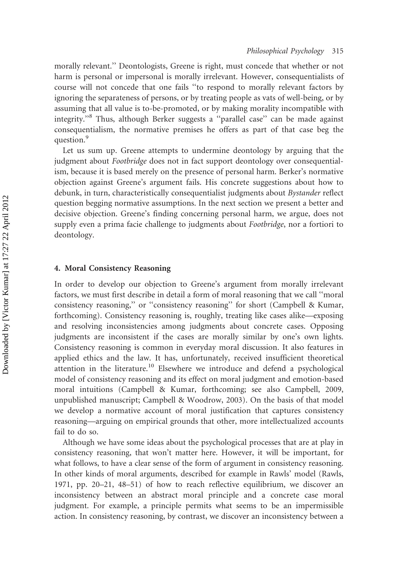morally relevant.'' Deontologists, Greene is right, must concede that whether or not harm is personal or impersonal is morally irrelevant. However, consequentialists of course will not concede that one fails ''to respond to morally relevant factors by ignoring the separateness of persons, or by treating people as vats of well-being, or by assuming that all value is to-be-promoted, or by making morality incompatible with integrity."<sup>8</sup> Thus, although Berker suggests a "parallel case" can be made against consequentialism, the normative premises he offers as part of that case beg the question.<sup>9</sup>

Let us sum up. Greene attempts to undermine deontology by arguing that the judgment about Footbridge does not in fact support deontology over consequentialism, because it is based merely on the presence of personal harm. Berker's normative objection against Greene's argument fails. His concrete suggestions about how to debunk, in turn, characteristically consequentialist judgments about Bystander reflect question begging normative assumptions. In the next section we present a better and decisive objection. Greene's finding concerning personal harm, we argue, does not supply even a prima facie challenge to judgments about *Footbridge*, nor a fortiori to deontology.

#### 4. Moral Consistency Reasoning

In order to develop our objection to Greene's argument from morally irrelevant factors, we must first describe in detail a form of moral reasoning that we call ''moral consistency reasoning,'' or ''consistency reasoning'' for short (Campbell & Kumar, forthcoming). Consistency reasoning is, roughly, treating like cases alike—exposing and resolving inconsistencies among judgments about concrete cases. Opposing judgments are inconsistent if the cases are morally similar by one's own lights. Consistency reasoning is common in everyday moral discussion. It also features in applied ethics and the law. It has, unfortunately, received insufficient theoretical attention in the literature.<sup>10</sup> Elsewhere we introduce and defend a psychological model of consistency reasoning and its effect on moral judgment and emotion-based moral intuitions (Campbell & Kumar, forthcoming; see also Campbell, 2009, unpublished manuscript; Campbell & Woodrow, 2003). On the basis of that model we develop a normative account of moral justification that captures consistency reasoning—arguing on empirical grounds that other, more intellectualized accounts fail to do so.

Although we have some ideas about the psychological processes that are at play in consistency reasoning, that won't matter here. However, it will be important, for what follows, to have a clear sense of the form of argument in consistency reasoning. In other kinds of moral arguments, described for example in Rawls' model (Rawls, 1971, pp. 20–21, 48–51) of how to reach reflective equilibrium, we discover an inconsistency between an abstract moral principle and a concrete case moral judgment. For example, a principle permits what seems to be an impermissible action. In consistency reasoning, by contrast, we discover an inconsistency between a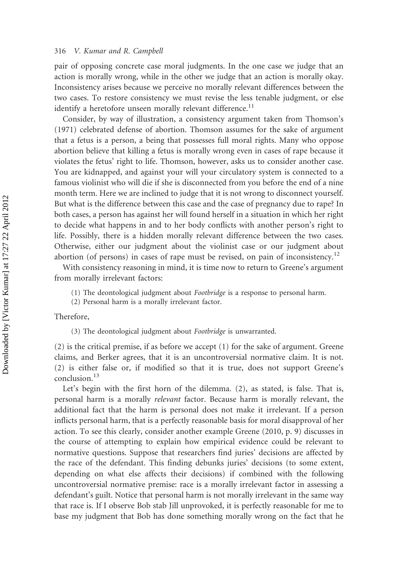pair of opposing concrete case moral judgments. In the one case we judge that an action is morally wrong, while in the other we judge that an action is morally okay. Inconsistency arises because we perceive no morally relevant differences between the two cases. To restore consistency we must revise the less tenable judgment, or else identify a heretofore unseen morally relevant difference.<sup>11</sup>

Consider, by way of illustration, a consistency argument taken from Thomson's (1971) celebrated defense of abortion. Thomson assumes for the sake of argument that a fetus is a person, a being that possesses full moral rights. Many who oppose abortion believe that killing a fetus is morally wrong even in cases of rape because it violates the fetus' right to life. Thomson, however, asks us to consider another case. You are kidnapped, and against your will your circulatory system is connected to a famous violinist who will die if she is disconnected from you before the end of a nine month term. Here we are inclined to judge that it is not wrong to disconnect yourself. But what is the difference between this case and the case of pregnancy due to rape? In both cases, a person has against her will found herself in a situation in which her right to decide what happens in and to her body conflicts with another person's right to life. Possibly, there is a hidden morally relevant difference between the two cases. Otherwise, either our judgment about the violinist case or our judgment about abortion (of persons) in cases of rape must be revised, on pain of inconsistency.<sup>12</sup>

With consistency reasoning in mind, it is time now to return to Greene's argument from morally irrelevant factors:

- (1) The deontological judgment about Footbridge is a response to personal harm.
- (2) Personal harm is a morally irrelevant factor.

Therefore,

(3) The deontological judgment about Footbridge is unwarranted.

(2) is the critical premise, if as before we accept (1) for the sake of argument. Greene claims, and Berker agrees, that it is an uncontroversial normative claim. It is not. (2) is either false or, if modified so that it is true, does not support Greene's conclusion.<sup>13</sup>

Let's begin with the first horn of the dilemma. (2), as stated, is false. That is, personal harm is a morally relevant factor. Because harm is morally relevant, the additional fact that the harm is personal does not make it irrelevant. If a person inflicts personal harm, that is a perfectly reasonable basis for moral disapproval of her action. To see this clearly, consider another example Greene (2010, p. 9) discusses in the course of attempting to explain how empirical evidence could be relevant to normative questions. Suppose that researchers find juries' decisions are affected by the race of the defendant. This finding debunks juries' decisions (to some extent, depending on what else affects their decisions) if combined with the following uncontroversial normative premise: race is a morally irrelevant factor in assessing a defendant's guilt. Notice that personal harm is not morally irrelevant in the same way that race is. If I observe Bob stab Jill unprovoked, it is perfectly reasonable for me to base my judgment that Bob has done something morally wrong on the fact that he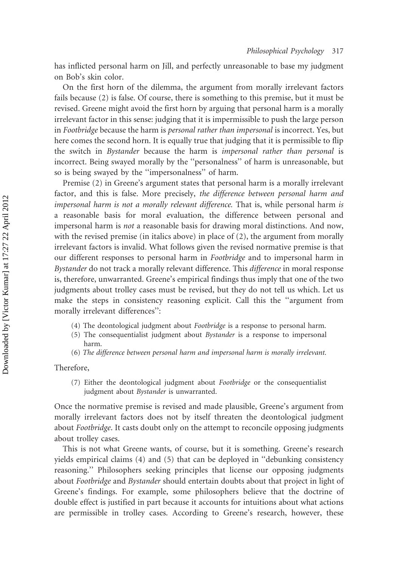has inflicted personal harm on Jill, and perfectly unreasonable to base my judgment on Bob's skin color.

On the first horn of the dilemma, the argument from morally irrelevant factors fails because (2) is false. Of course, there is something to this premise, but it must be revised. Greene might avoid the first horn by arguing that personal harm is a morally irrelevant factor in this sense: judging that it is impermissible to push the large person in Footbridge because the harm is personal rather than impersonal is incorrect. Yes, but here comes the second horn. It is equally true that judging that it is permissible to flip the switch in Bystander because the harm is impersonal rather than personal is incorrect. Being swayed morally by the ''personalness'' of harm is unreasonable, but so is being swayed by the ''impersonalness'' of harm.

Premise (2) in Greene's argument states that personal harm is a morally irrelevant factor, and this is false. More precisely, the difference between personal harm and impersonal harm is not a morally relevant difference. That is, while personal harm is a reasonable basis for moral evaluation, the difference between personal and impersonal harm is not a reasonable basis for drawing moral distinctions. And now, with the revised premise (in italics above) in place of (2), the argument from morally irrelevant factors is invalid. What follows given the revised normative premise is that our different responses to personal harm in Footbridge and to impersonal harm in Bystander do not track a morally relevant difference. This difference in moral response is, therefore, unwarranted. Greene's empirical findings thus imply that one of the two judgments about trolley cases must be revised, but they do not tell us which. Let us make the steps in consistency reasoning explicit. Call this the "argument from morally irrelevant differences'':

- (4) The deontological judgment about Footbridge is a response to personal harm.
- (5) The consequentialist judgment about Bystander is a response to impersonal harm.
- (6) The difference between personal harm and impersonal harm is morally irrelevant.

Therefore,

(7) Either the deontological judgment about Footbridge or the consequentialist judgment about Bystander is unwarranted.

Once the normative premise is revised and made plausible, Greene's argument from morally irrelevant factors does not by itself threaten the deontological judgment about *Footbridge*. It casts doubt only on the attempt to reconcile opposing judgments about trolley cases.

This is not what Greene wants, of course, but it is something. Greene's research yields empirical claims (4) and (5) that can be deployed in ''debunking consistency reasoning.'' Philosophers seeking principles that license our opposing judgments about Footbridge and Bystander should entertain doubts about that project in light of Greene's findings. For example, some philosophers believe that the doctrine of double effect is justified in part because it accounts for intuitions about what actions are permissible in trolley cases. According to Greene's research, however, these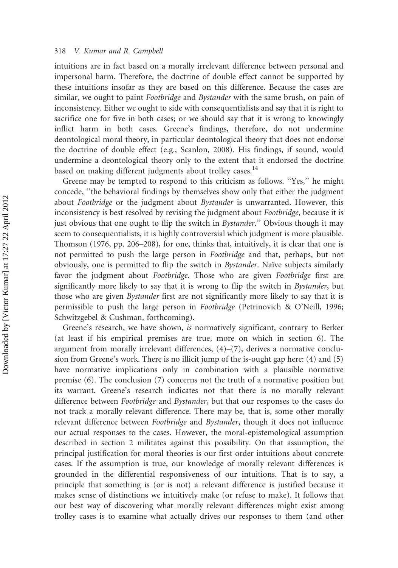intuitions are in fact based on a morally irrelevant difference between personal and impersonal harm. Therefore, the doctrine of double effect cannot be supported by these intuitions insofar as they are based on this difference. Because the cases are similar, we ought to paint *Footbridge* and *Bystander* with the same brush, on pain of inconsistency. Either we ought to side with consequentialists and say that it is right to sacrifice one for five in both cases; or we should say that it is wrong to knowingly inflict harm in both cases. Greene's findings, therefore, do not undermine deontological moral theory, in particular deontological theory that does not endorse the doctrine of double effect (e.g., Scanlon, 2008). His findings, if sound, would undermine a deontological theory only to the extent that it endorsed the doctrine based on making different judgments about trolley cases.<sup>14</sup>

Greene may be tempted to respond to this criticism as follows. ''Yes,'' he might concede, ''the behavioral findings by themselves show only that either the judgment about *Footbridge* or the judgment about *Bystander* is unwarranted. However, this inconsistency is best resolved by revising the judgment about *Footbridge*, because it is just obvious that one ought to flip the switch in Bystander." Obvious though it may seem to consequentialists, it is highly controversial which judgment is more plausible. Thomson (1976, pp. 206–208), for one, thinks that, intuitively, it is clear that one is not permitted to push the large person in *Footbridge* and that, perhaps, but not obviously, one is permitted to flip the switch in *Bystander*. Naïve subjects similarly favor the judgment about *Footbridge*. Those who are given *Footbridge* first are significantly more likely to say that it is wrong to flip the switch in *Bystander*, but those who are given *Bystander* first are not significantly more likely to say that it is permissible to push the large person in Footbridge (Petrinovich & O'Neill, 1996; Schwitzgebel & Cushman, forthcoming).

Greene's research, we have shown, is normatively significant, contrary to Berker (at least if his empirical premises are true, more on which in section 6). The argument from morally irrelevant differences, (4)–(7), derives a normative conclusion from Greene's work. There is no illicit jump of the is-ought gap here: (4) and (5) have normative implications only in combination with a plausible normative premise (6). The conclusion (7) concerns not the truth of a normative position but its warrant. Greene's research indicates not that there is no morally relevant difference between Footbridge and Bystander, but that our responses to the cases do not track a morally relevant difference. There may be, that is, some other morally relevant difference between Footbridge and Bystander, though it does not influence our actual responses to the cases. However, the moral-epistemological assumption described in section 2 militates against this possibility. On that assumption, the principal justification for moral theories is our first order intuitions about concrete cases. If the assumption is true, our knowledge of morally relevant differences is grounded in the differential responsiveness of our intuitions. That is to say, a principle that something is (or is not) a relevant difference is justified because it makes sense of distinctions we intuitively make (or refuse to make). It follows that our best way of discovering what morally relevant differences might exist among trolley cases is to examine what actually drives our responses to them (and other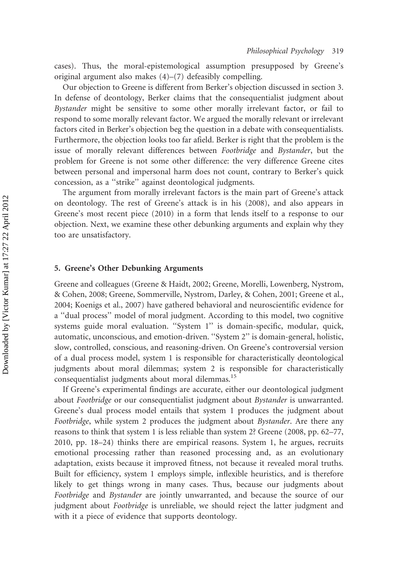cases). Thus, the moral-epistemological assumption presupposed by Greene's original argument also makes (4)–(7) defeasibly compelling.

Our objection to Greene is different from Berker's objection discussed in section 3. In defense of deontology, Berker claims that the consequentialist judgment about Bystander might be sensitive to some other morally irrelevant factor, or fail to respond to some morally relevant factor. We argued the morally relevant or irrelevant factors cited in Berker's objection beg the question in a debate with consequentialists. Furthermore, the objection looks too far afield. Berker is right that the problem is the issue of morally relevant differences between Footbridge and Bystander, but the problem for Greene is not some other difference: the very difference Greene cites between personal and impersonal harm does not count, contrary to Berker's quick concession, as a ''strike'' against deontological judgments.

The argument from morally irrelevant factors is the main part of Greene's attack on deontology. The rest of Greene's attack is in his (2008), and also appears in Greene's most recent piece (2010) in a form that lends itself to a response to our objection. Next, we examine these other debunking arguments and explain why they too are unsatisfactory.

#### 5. Greene's Other Debunking Arguments

Greene and colleagues (Greene & Haidt, 2002; Greene, Morelli, Lowenberg, Nystrom, & Cohen, 2008; Greene, Sommerville, Nystrom, Darley, & Cohen, 2001; Greene et al., 2004; Koenigs et al., 2007) have gathered behavioral and neuroscientific evidence for a ''dual process'' model of moral judgment. According to this model, two cognitive systems guide moral evaluation. "System 1" is domain-specific, modular, quick, automatic, unconscious, and emotion-driven. ''System 2'' is domain-general, holistic, slow, controlled, conscious, and reasoning-driven. On Greene's controversial version of a dual process model, system 1 is responsible for characteristically deontological judgments about moral dilemmas; system 2 is responsible for characteristically consequentialist judgments about moral dilemmas.<sup>15</sup>

If Greene's experimental findings are accurate, either our deontological judgment about Footbridge or our consequentialist judgment about Bystander is unwarranted. Greene's dual process model entails that system 1 produces the judgment about Footbridge, while system 2 produces the judgment about Bystander. Are there any reasons to think that system 1 is less reliable than system 2? Greene (2008, pp. 62–77, 2010, pp. 18–24) thinks there are empirical reasons. System 1, he argues, recruits emotional processing rather than reasoned processing and, as an evolutionary adaptation, exists because it improved fitness, not because it revealed moral truths. Built for efficiency, system 1 employs simple, inflexible heuristics, and is therefore likely to get things wrong in many cases. Thus, because our judgments about Footbridge and Bystander are jointly unwarranted, and because the source of our judgment about *Footbridge* is unreliable, we should reject the latter judgment and with it a piece of evidence that supports deontology.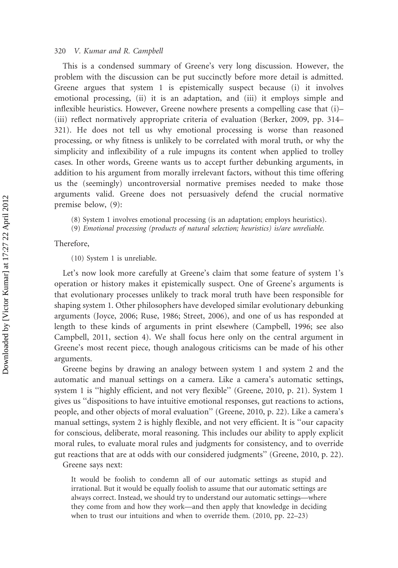This is a condensed summary of Greene's very long discussion. However, the problem with the discussion can be put succinctly before more detail is admitted. Greene argues that system 1 is epistemically suspect because (i) it involves emotional processing, (ii) it is an adaptation, and (iii) it employs simple and inflexible heuristics. However, Greene nowhere presents a compelling case that (i)– (iii) reflect normatively appropriate criteria of evaluation (Berker, 2009, pp. 314– 321). He does not tell us why emotional processing is worse than reasoned processing, or why fitness is unlikely to be correlated with moral truth, or why the simplicity and inflexibility of a rule impugns its content when applied to trolley cases. In other words, Greene wants us to accept further debunking arguments, in addition to his argument from morally irrelevant factors, without this time offering us the (seemingly) uncontroversial normative premises needed to make those arguments valid. Greene does not persuasively defend the crucial normative premise below, (9):

(8) System 1 involves emotional processing (is an adaptation; employs heuristics).

(9) Emotional processing (products of natural selection; heuristics) is/are unreliable.

Therefore,

(10) System 1 is unreliable.

Let's now look more carefully at Greene's claim that some feature of system 1's operation or history makes it epistemically suspect. One of Greene's arguments is that evolutionary processes unlikely to track moral truth have been responsible for shaping system 1. Other philosophers have developed similar evolutionary debunking arguments (Joyce, 2006; Ruse, 1986; Street, 2006), and one of us has responded at length to these kinds of arguments in print elsewhere (Campbell, 1996; see also Campbell, 2011, section 4). We shall focus here only on the central argument in Greene's most recent piece, though analogous criticisms can be made of his other arguments.

Greene begins by drawing an analogy between system 1 and system 2 and the automatic and manual settings on a camera. Like a camera's automatic settings, system 1 is ''highly efficient, and not very flexible'' (Greene, 2010, p. 21). System 1 gives us ''dispositions to have intuitive emotional responses, gut reactions to actions, people, and other objects of moral evaluation'' (Greene, 2010, p. 22). Like a camera's manual settings, system 2 is highly flexible, and not very efficient. It is ''our capacity for conscious, deliberate, moral reasoning. This includes our ability to apply explicit moral rules, to evaluate moral rules and judgments for consistency, and to override gut reactions that are at odds with our considered judgments'' (Greene, 2010, p. 22).

Greene says next:

It would be foolish to condemn all of our automatic settings as stupid and irrational. But it would be equally foolish to assume that our automatic settings are always correct. Instead, we should try to understand our automatic settings—where they come from and how they work—and then apply that knowledge in deciding when to trust our intuitions and when to override them. (2010, pp. 22–23)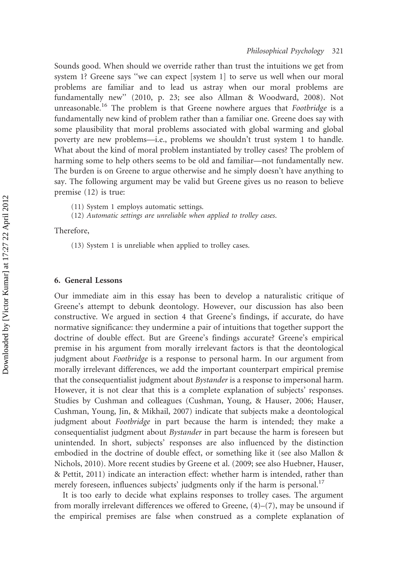Sounds good. When should we override rather than trust the intuitions we get from system 1? Greene says ''we can expect [system 1] to serve us well when our moral problems are familiar and to lead us astray when our moral problems are fundamentally new'' (2010, p. 23; see also Allman & Woodward, 2008). Not unreasonable.<sup>16</sup> The problem is that Greene nowhere argues that Footbridge is a fundamentally new kind of problem rather than a familiar one. Greene does say with some plausibility that moral problems associated with global warming and global poverty are new problems—i.e., problems we shouldn't trust system 1 to handle. What about the kind of moral problem instantiated by trolley cases? The problem of harming some to help others seems to be old and familiar—not fundamentally new. The burden is on Greene to argue otherwise and he simply doesn't have anything to say. The following argument may be valid but Greene gives us no reason to believe premise (12) is true:

(11) System 1 employs automatic settings.

(12) Automatic settings are unreliable when applied to trolley cases.

Therefore,

(13) System 1 is unreliable when applied to trolley cases.

#### 6. General Lessons

Our immediate aim in this essay has been to develop a naturalistic critique of Greene's attempt to debunk deontology. However, our discussion has also been constructive. We argued in section 4 that Greene's findings, if accurate, do have normative significance: they undermine a pair of intuitions that together support the doctrine of double effect. But are Greene's findings accurate? Greene's empirical premise in his argument from morally irrelevant factors is that the deontological judgment about *Footbridge* is a response to personal harm. In our argument from morally irrelevant differences, we add the important counterpart empirical premise that the consequentialist judgment about *Bystander* is a response to impersonal harm. However, it is not clear that this is a complete explanation of subjects' responses. Studies by Cushman and colleagues (Cushman, Young, & Hauser, 2006; Hauser, Cushman, Young, Jin, & Mikhail, 2007) indicate that subjects make a deontological judgment about Footbridge in part because the harm is intended; they make a consequentialist judgment about Bystander in part because the harm is foreseen but unintended. In short, subjects' responses are also influenced by the distinction embodied in the doctrine of double effect, or something like it (see also Mallon & Nichols, 2010). More recent studies by Greene et al. (2009; see also Huebner, Hauser, & Pettit, 2011) indicate an interaction effect: whether harm is intended, rather than merely foreseen, influences subjects' judgments only if the harm is personal.<sup>17</sup>

It is too early to decide what explains responses to trolley cases. The argument from morally irrelevant differences we offered to Greene, (4)–(7), may be unsound if the empirical premises are false when construed as a complete explanation of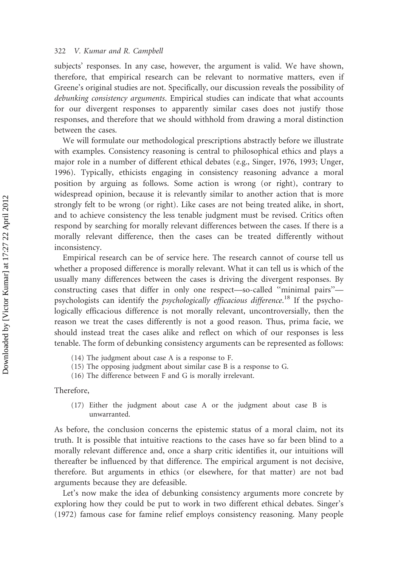subjects' responses. In any case, however, the argument is valid. We have shown, therefore, that empirical research can be relevant to normative matters, even if Greene's original studies are not. Specifically, our discussion reveals the possibility of debunking consistency arguments. Empirical studies can indicate that what accounts for our divergent responses to apparently similar cases does not justify those responses, and therefore that we should withhold from drawing a moral distinction between the cases.

We will formulate our methodological prescriptions abstractly before we illustrate with examples. Consistency reasoning is central to philosophical ethics and plays a major role in a number of different ethical debates (e.g., Singer, 1976, 1993; Unger, 1996). Typically, ethicists engaging in consistency reasoning advance a moral position by arguing as follows. Some action is wrong (or right), contrary to widespread opinion, because it is relevantly similar to another action that is more strongly felt to be wrong (or right). Like cases are not being treated alike, in short, and to achieve consistency the less tenable judgment must be revised. Critics often respond by searching for morally relevant differences between the cases. If there is a morally relevant difference, then the cases can be treated differently without inconsistency.

Empirical research can be of service here. The research cannot of course tell us whether a proposed difference is morally relevant. What it can tell us is which of the usually many differences between the cases is driving the divergent responses. By constructing cases that differ in only one respect—so-called ''minimal pairs'' psychologists can identify the *psychologically efficacious difference*.<sup>18</sup> If the psychologically efficacious difference is not morally relevant, uncontroversially, then the reason we treat the cases differently is not a good reason. Thus, prima facie, we should instead treat the cases alike and reflect on which of our responses is less tenable. The form of debunking consistency arguments can be represented as follows:

- (14) The judgment about case A is a response to F.
- (15) The opposing judgment about similar case B is a response to G.
- (16) The difference between F and G is morally irrelevant.

#### Therefore,

(17) Either the judgment about case A or the judgment about case B is unwarranted.

As before, the conclusion concerns the epistemic status of a moral claim, not its truth. It is possible that intuitive reactions to the cases have so far been blind to a morally relevant difference and, once a sharp critic identifies it, our intuitions will thereafter be influenced by that difference. The empirical argument is not decisive, therefore. But arguments in ethics (or elsewhere, for that matter) are not bad arguments because they are defeasible.

Let's now make the idea of debunking consistency arguments more concrete by exploring how they could be put to work in two different ethical debates. Singer's (1972) famous case for famine relief employs consistency reasoning. Many people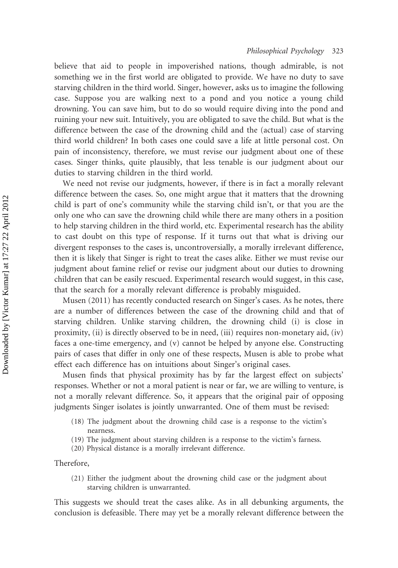believe that aid to people in impoverished nations, though admirable, is not something we in the first world are obligated to provide. We have no duty to save starving children in the third world. Singer, however, asks us to imagine the following case. Suppose you are walking next to a pond and you notice a young child drowning. You can save him, but to do so would require diving into the pond and ruining your new suit. Intuitively, you are obligated to save the child. But what is the difference between the case of the drowning child and the (actual) case of starving third world children? In both cases one could save a life at little personal cost. On pain of inconsistency, therefore, we must revise our judgment about one of these cases. Singer thinks, quite plausibly, that less tenable is our judgment about our duties to starving children in the third world.

We need not revise our judgments, however, if there is in fact a morally relevant difference between the cases. So, one might argue that it matters that the drowning child is part of one's community while the starving child isn't, or that you are the only one who can save the drowning child while there are many others in a position to help starving children in the third world, etc. Experimental research has the ability to cast doubt on this type of response. If it turns out that what is driving our divergent responses to the cases is, uncontroversially, a morally irrelevant difference, then it is likely that Singer is right to treat the cases alike. Either we must revise our judgment about famine relief or revise our judgment about our duties to drowning children that can be easily rescued. Experimental research would suggest, in this case, that the search for a morally relevant difference is probably misguided.

Musen (2011) has recently conducted research on Singer's cases. As he notes, there are a number of differences between the case of the drowning child and that of starving children. Unlike starving children, the drowning child (i) is close in proximity, (ii) is directly observed to be in need, (iii) requires non-monetary aid, (iv) faces a one-time emergency, and (v) cannot be helped by anyone else. Constructing pairs of cases that differ in only one of these respects, Musen is able to probe what effect each difference has on intuitions about Singer's original cases.

Musen finds that physical proximity has by far the largest effect on subjects' responses. Whether or not a moral patient is near or far, we are willing to venture, is not a morally relevant difference. So, it appears that the original pair of opposing judgments Singer isolates is jointly unwarranted. One of them must be revised:

- (18) The judgment about the drowning child case is a response to the victim's nearness.
- (19) The judgment about starving children is a response to the victim's farness.
- (20) Physical distance is a morally irrelevant difference.

Therefore,

(21) Either the judgment about the drowning child case or the judgment about starving children is unwarranted.

This suggests we should treat the cases alike. As in all debunking arguments, the conclusion is defeasible. There may yet be a morally relevant difference between the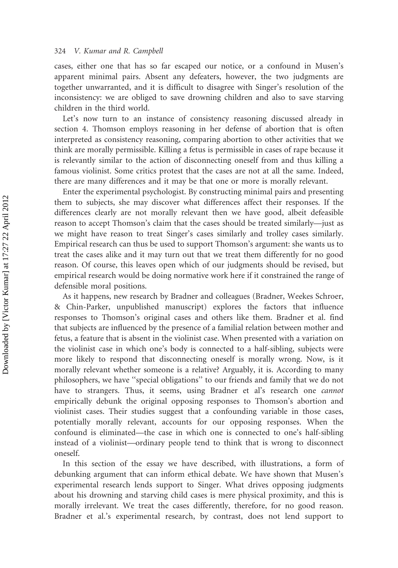cases, either one that has so far escaped our notice, or a confound in Musen's apparent minimal pairs. Absent any defeaters, however, the two judgments are together unwarranted, and it is difficult to disagree with Singer's resolution of the inconsistency: we are obliged to save drowning children and also to save starving children in the third world.

Let's now turn to an instance of consistency reasoning discussed already in section 4. Thomson employs reasoning in her defense of abortion that is often interpreted as consistency reasoning, comparing abortion to other activities that we think are morally permissible. Killing a fetus is permissible in cases of rape because it is relevantly similar to the action of disconnecting oneself from and thus killing a famous violinist. Some critics protest that the cases are not at all the same. Indeed, there are many differences and it may be that one or more is morally relevant.

Enter the experimental psychologist. By constructing minimal pairs and presenting them to subjects, she may discover what differences affect their responses. If the differences clearly are not morally relevant then we have good, albeit defeasible reason to accept Thomson's claim that the cases should be treated similarly—just as we might have reason to treat Singer's cases similarly and trolley cases similarly. Empirical research can thus be used to support Thomson's argument: she wants us to treat the cases alike and it may turn out that we treat them differently for no good reason. Of course, this leaves open which of our judgments should be revised, but empirical research would be doing normative work here if it constrained the range of defensible moral positions.

As it happens, new research by Bradner and colleagues (Bradner, Weekes Schroer, & Chin-Parker, unpublished manuscript) explores the factors that influence responses to Thomson's original cases and others like them. Bradner et al. find that subjects are influenced by the presence of a familial relation between mother and fetus, a feature that is absent in the violinist case. When presented with a variation on the violinist case in which one's body is connected to a half-sibling, subjects were more likely to respond that disconnecting oneself is morally wrong. Now, is it morally relevant whether someone is a relative? Arguably, it is. According to many philosophers, we have ''special obligations'' to our friends and family that we do not have to strangers. Thus, it seems, using Bradner et al's research one *cannot* empirically debunk the original opposing responses to Thomson's abortion and violinist cases. Their studies suggest that a confounding variable in those cases, potentially morally relevant, accounts for our opposing responses. When the confound is eliminated—the case in which one is connected to one's half-sibling instead of a violinist—ordinary people tend to think that is wrong to disconnect oneself.

In this section of the essay we have described, with illustrations, a form of debunking argument that can inform ethical debate. We have shown that Musen's experimental research lends support to Singer. What drives opposing judgments about his drowning and starving child cases is mere physical proximity, and this is morally irrelevant. We treat the cases differently, therefore, for no good reason. Bradner et al.'s experimental research, by contrast, does not lend support to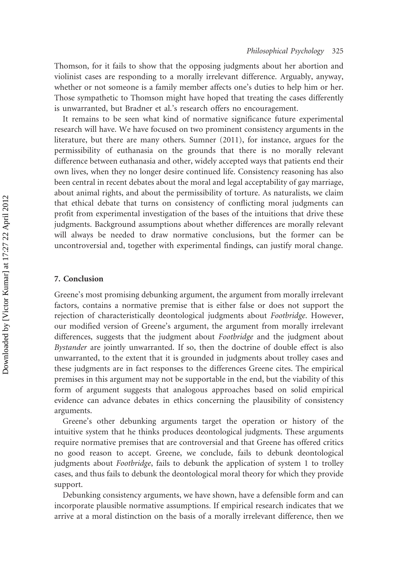Thomson, for it fails to show that the opposing judgments about her abortion and violinist cases are responding to a morally irrelevant difference. Arguably, anyway, whether or not someone is a family member affects one's duties to help him or her. Those sympathetic to Thomson might have hoped that treating the cases differently is unwarranted, but Bradner et al.'s research offers no encouragement.

It remains to be seen what kind of normative significance future experimental research will have. We have focused on two prominent consistency arguments in the literature, but there are many others. Sumner (2011), for instance, argues for the permissibility of euthanasia on the grounds that there is no morally relevant difference between euthanasia and other, widely accepted ways that patients end their own lives, when they no longer desire continued life. Consistency reasoning has also been central in recent debates about the moral and legal acceptability of gay marriage, about animal rights, and about the permissibility of torture. As naturalists, we claim that ethical debate that turns on consistency of conflicting moral judgments can profit from experimental investigation of the bases of the intuitions that drive these judgments. Background assumptions about whether differences are morally relevant will always be needed to draw normative conclusions, but the former can be uncontroversial and, together with experimental findings, can justify moral change.

#### 7. Conclusion

Greene's most promising debunking argument, the argument from morally irrelevant factors, contains a normative premise that is either false or does not support the rejection of characteristically deontological judgments about Footbridge. However, our modified version of Greene's argument, the argument from morally irrelevant differences, suggests that the judgment about *Footbridge* and the judgment about Bystander are jointly unwarranted. If so, then the doctrine of double effect is also unwarranted, to the extent that it is grounded in judgments about trolley cases and these judgments are in fact responses to the differences Greene cites. The empirical premises in this argument may not be supportable in the end, but the viability of this form of argument suggests that analogous approaches based on solid empirical evidence can advance debates in ethics concerning the plausibility of consistency arguments.

Greene's other debunking arguments target the operation or history of the intuitive system that he thinks produces deontological judgments. These arguments require normative premises that are controversial and that Greene has offered critics no good reason to accept. Greene, we conclude, fails to debunk deontological judgments about *Footbridge*, fails to debunk the application of system 1 to trolley cases, and thus fails to debunk the deontological moral theory for which they provide support.

Debunking consistency arguments, we have shown, have a defensible form and can incorporate plausible normative assumptions. If empirical research indicates that we arrive at a moral distinction on the basis of a morally irrelevant difference, then we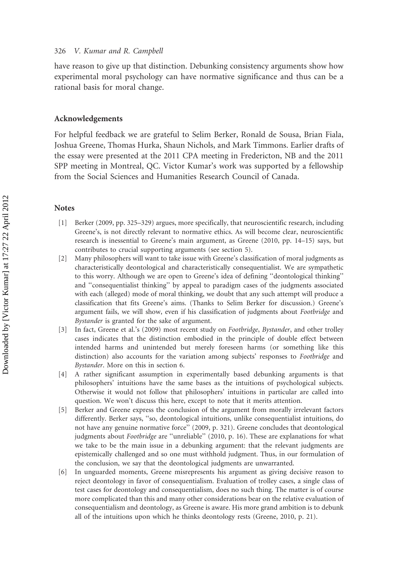have reason to give up that distinction. Debunking consistency arguments show how experimental moral psychology can have normative significance and thus can be a rational basis for moral change.

#### Acknowledgements

For helpful feedback we are grateful to Selim Berker, Ronald de Sousa, Brian Fiala, Joshua Greene, Thomas Hurka, Shaun Nichols, and Mark Timmons. Earlier drafts of the essay were presented at the 2011 CPA meeting in Fredericton, NB and the 2011 SPP meeting in Montreal, QC. Victor Kumar's work was supported by a fellowship from the Social Sciences and Humanities Research Council of Canada.

#### Notes

- [1] Berker (2009, pp. 325–329) argues, more specifically, that neuroscientific research, including Greene's, is not directly relevant to normative ethics. As will become clear, neuroscientific research is inessential to Greene's main argument, as Greene (2010, pp. 14–15) says, but contributes to crucial supporting arguments (see section 5).
- [2] Many philosophers will want to take issue with Greene's classification of moral judgments as characteristically deontological and characteristically consequentialist. We are sympathetic to this worry. Although we are open to Greene's idea of defining ''deontological thinking'' and ''consequentialist thinking'' by appeal to paradigm cases of the judgments associated with each (alleged) mode of moral thinking, we doubt that any such attempt will produce a classification that fits Greene's aims. (Thanks to Selim Berker for discussion.) Greene's argument fails, we will show, even if his classification of judgments about Footbridge and Bystander is granted for the sake of argument.
- [3] In fact, Greene et al.'s (2009) most recent study on Footbridge, Bystander, and other trolley cases indicates that the distinction embodied in the principle of double effect between intended harms and unintended but merely foreseen harms (or something like this distinction) also accounts for the variation among subjects' responses to Footbridge and Bystander. More on this in section 6.
- [4] A rather significant assumption in experimentally based debunking arguments is that philosophers' intuitions have the same bases as the intuitions of psychological subjects. Otherwise it would not follow that philosophers' intuitions in particular are called into question. We won't discuss this here, except to note that it merits attention.
- [5] Berker and Greene express the conclusion of the argument from morally irrelevant factors differently. Berker says, ''so, deontological intuitions, unlike consequentialist intuitions, do not have any genuine normative force'' (2009, p. 321). Greene concludes that deontological judgments about *Footbridge* are "unreliable" (2010, p. 16). These are explanations for what we take to be the main issue in a debunking argument: that the relevant judgments are epistemically challenged and so one must withhold judgment. Thus, in our formulation of the conclusion, we say that the deontological judgments are unwarranted.
- [6] In unguarded moments, Greene misrepresents his argument as giving decisive reason to reject deontology in favor of consequentialism. Evaluation of trolley cases, a single class of test cases for deontology and consequentialism, does no such thing. The matter is of course more complicated than this and many other considerations bear on the relative evaluation of consequentialism and deontology, as Greene is aware. His more grand ambition is to debunk all of the intuitions upon which he thinks deontology rests (Greene, 2010, p. 21).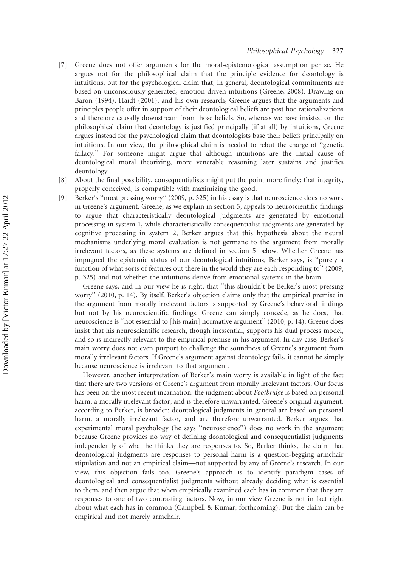- [7] Greene does not offer arguments for the moral-epistemological assumption per se. He argues not for the philosophical claim that the principle evidence for deontology is intuitions, but for the psychological claim that, in general, deontological commitments are based on unconsciously generated, emotion driven intuitions (Greene, 2008). Drawing on Baron (1994), Haidt (2001), and his own research, Greene argues that the arguments and principles people offer in support of their deontological beliefs are post hoc rationalizations and therefore causally downstream from those beliefs. So, whereas we have insisted on the philosophical claim that deontology is justified principally (if at all) by intuitions, Greene argues instead for the psychological claim that deontologists base their beliefs principally on intuitions. In our view, the philosophical claim is needed to rebut the charge of ''genetic fallacy.'' For someone might argue that although intuitions are the initial cause of deontological moral theorizing, more venerable reasoning later sustains and justifies deontology.
- [8] About the final possibility, consequentialists might put the point more finely: that integrity, properly conceived, is compatible with maximizing the good.
- [9] Berker's ''most pressing worry'' (2009, p. 325) in his essay is that neuroscience does no work in Greene's argument. Greene, as we explain in section 5, appeals to neuroscientific findings to argue that characteristically deontological judgments are generated by emotional processing in system 1, while characteristically consequentialist judgments are generated by cognitive processing in system 2, Berker argues that this hypothesis about the neural mechanisms underlying moral evaluation is not germane to the argument from morally irrelevant factors, as these systems are defined in section 5 below. Whether Greene has impugned the epistemic status of our deontological intuitions, Berker says, is ''purely a function of what sorts of features out there in the world they are each responding to'' (2009, p. 325) and not whether the intuitions derive from emotional systems in the brain.

Greene says, and in our view he is right, that ''this shouldn't be Berker's most pressing worry'' (2010, p. 14). By itself, Berker's objection claims only that the empirical premise in the argument from morally irrelevant factors is supported by Greene's behavioral findings but not by his neuroscientific findings. Greene can simply concede, as he does, that neuroscience is ''not essential to [his main] normative argument'' (2010, p. 14). Greene does insist that his neuroscientific research, though inessential, supports his dual process model, and so is indirectly relevant to the empirical premise in his argument. In any case, Berker's main worry does not even purport to challenge the soundness of Greene's argument from morally irrelevant factors. If Greene's argument against deontology fails, it cannot be simply because neuroscience is irrelevant to that argument.

However, another interpretation of Berker's main worry is available in light of the fact that there are two versions of Greene's argument from morally irrelevant factors. Our focus has been on the most recent incarnation: the judgment about Footbridge is based on personal harm, a morally irrelevant factor, and is therefore unwarranted. Greene's original argument, according to Berker, is broader: deontological judgments in general are based on personal harm, a morally irrelevant factor, and are therefore unwarranted. Berker argues that experimental moral psychology (he says ''neuroscience'') does no work in the argument because Greene provides no way of defining deontological and consequentialist judgments independently of what he thinks they are responses to. So, Berker thinks, the claim that deontological judgments are responses to personal harm is a question-begging armchair stipulation and not an empirical claim—not supported by any of Greene's research. In our view, this objection fails too. Greene's approach is to identify paradigm cases of deontological and consequentialist judgments without already deciding what is essential to them, and then argue that when empirically examined each has in common that they are responses to one of two contrasting factors. Now, in our view Greene is not in fact right about what each has in common (Campbell & Kumar, forthcoming). But the claim can be empirical and not merely armchair.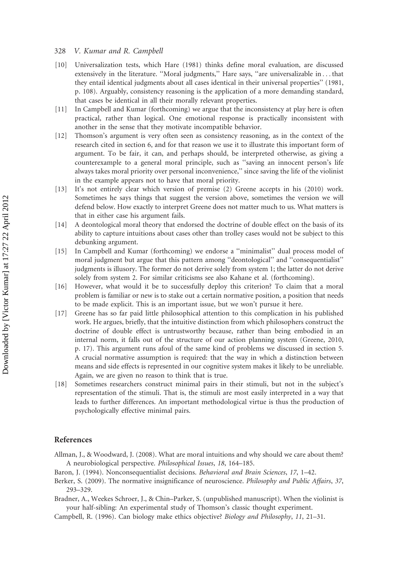- [10] Universalization tests, which Hare (1981) thinks define moral evaluation, are discussed extensively in the literature. "Moral judgments," Hare says, "are universalizable in ... that they entail identical judgments about all cases identical in their universal properties'' (1981, p. 108). Arguably, consistency reasoning is the application of a more demanding standard, that cases be identical in all their morally relevant properties.
- [11] In Campbell and Kumar (forthcoming) we argue that the inconsistency at play here is often practical, rather than logical. One emotional response is practically inconsistent with another in the sense that they motivate incompatible behavior.
- [12] Thomson's argument is very often seen as consistency reasoning, as in the context of the research cited in section 6, and for that reason we use it to illustrate this important form of argument. To be fair, it can, and perhaps should, be interpreted otherwise, as giving a counterexample to a general moral principle, such as ''saving an innocent person's life always takes moral priority over personal inconvenience,'' since saving the life of the violinist in the example appears not to have that moral priority.
- [13] It's not entirely clear which version of premise (2) Greene accepts in his (2010) work. Sometimes he says things that suggest the version above, sometimes the version we will defend below. How exactly to interpret Greene does not matter much to us. What matters is that in either case his argument fails.
- [14] A deontological moral theory that endorsed the doctrine of double effect on the basis of its ability to capture intuitions about cases other than trolley cases would not be subject to this debunking argument.
- [15] In Campbell and Kumar (forthcoming) we endorse a ''minimalist'' dual process model of moral judgment but argue that this pattern among ''deontological'' and ''consequentialist'' judgments is illusory. The former do not derive solely from system 1; the latter do not derive solely from system 2. For similar criticisms see also Kahane et al. (forthcoming).
- [16] However, what would it be to successfully deploy this criterion? To claim that a moral problem is familiar or new is to stake out a certain normative position, a position that needs to be made explicit. This is an important issue, but we won't pursue it here.
- [17] Greene has so far paid little philosophical attention to this complication in his published work. He argues, briefly, that the intuitive distinction from which philosophers construct the doctrine of double effect is untrustworthy because, rather than being embodied in an internal norm, it falls out of the structure of our action planning system (Greene, 2010, p. 17). This argument runs afoul of the same kind of problems we discussed in section 5. A crucial normative assumption is required: that the way in which a distinction between means and side effects is represented in our cognitive system makes it likely to be unreliable. Again, we are given no reason to think that is true.
- [18] Sometimes researchers construct minimal pairs in their stimuli, but not in the subject's representation of the stimuli. That is, the stimuli are most easily interpreted in a way that leads to further differences. An important methodological virtue is thus the production of psychologically effective minimal pairs.

#### References

- Allman, J., & Woodward, J. (2008). What are moral intuitions and why should we care about them? A neurobiological perspective. Philosophical Issues, 18, 164–185.
- Baron, J. (1994). Nonconsequentialist decisions. Behavioral and Brain Sciences, 17, 1–42.
- Berker, S. (2009). The normative insignificance of neuroscience. Philosophy and Public Affairs, 37, 293–329.
- Bradner, A., Weekes Schroer, J., & Chin–Parker, S. (unpublished manuscript). When the violinist is your half-sibling: An experimental study of Thomson's classic thought experiment.
- Campbell, R. (1996). Can biology make ethics objective? Biology and Philosophy, 11, 21–31.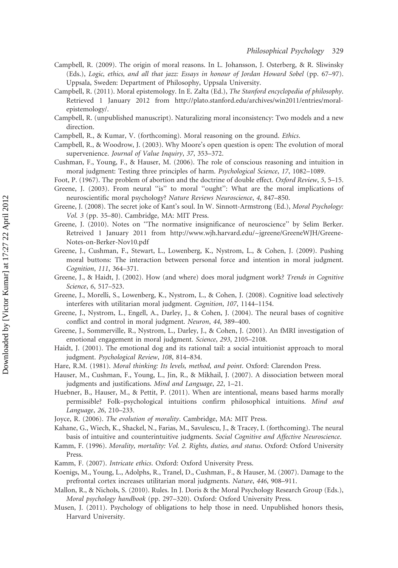- Campbell, R. (2009). The origin of moral reasons. In L. Johansson, J. Osterberg, & R. Sliwinsky (Eds.), Logic, ethics, and all that jazz: Essays in honour of Jordan Howard Sobel (pp. 67–97). Uppsala, Sweden: Department of Philosophy, Uppsala University.
- Campbell, R. (2011). Moral epistemology. In E. Zalta (Ed.), The Stanford encyclopedia of philosophy. Retrieved 1 January 2012 from http://plato.stanford.edu/archives/win2011/entries/moralepistemology/.
- Campbell, R. (unpublished manuscript). Naturalizing moral inconsistency: Two models and a new direction.
- Campbell, R., & Kumar, V. (forthcoming). Moral reasoning on the ground. Ethics.
- Campbell, R., & Woodrow, J. (2003). Why Moore's open question is open: The evolution of moral supervenience. Journal of Value Inquiry, 37, 353-372.
- Cushman, F., Young, F., & Hauser, M. (2006). The role of conscious reasoning and intuition in moral judgment: Testing three principles of harm. Psychological Science, 17, 1082–1089.
- Foot, P. (1967). The problem of abortion and the doctrine of double effect. Oxford Review, 5, 5–15.
- Greene, J. (2003). From neural "is" to moral "ought": What are the moral implications of neuroscientific moral psychology? Nature Reviews Neuroscience, 4, 847–850.
- Greene, J. (2008). The secret joke of Kant's soul. In W. Sinnott-Armstrong (Ed.), Moral Psychology: Vol. 3 (pp. 35–80). Cambridge, MA: MIT Press.
- Greene, J. (2010). Notes on ''The normative insignificance of neuroscience'' by Selim Berker. Retreived 1 January 2011 from http://www.wjh.harvard.edu/~jgreene/GreeneWJH/Greene-Notes-on-Berker-Nov10.pdf
- Greene, J., Cushman, F., Stewart, L., Lowenberg, K., Nystrom, L., & Cohen, J. (2009). Pushing moral buttons: The interaction between personal force and intention in moral judgment. Cognition, 111, 364–371.
- Greene, J., & Haidt, J. (2002). How (and where) does moral judgment work? Trends in Cognitive Science, 6, 517–523.
- Greene, J., Morelli, S., Lowenberg, K., Nystrom, L., & Cohen, J. (2008). Cognitive load selectively interferes with utilitarian moral judgment. Cognition, 107, 1144–1154.
- Greene, J., Nystrom, L., Engell, A., Darley, J., & Cohen, J. (2004). The neural bases of cognitive conflict and control in moral judgment. Neuron, 44, 389–400.
- Greene, J., Sommerville, R., Nystrom, L., Darley, J., & Cohen, J. (2001). An fMRI investigation of emotional engagement in moral judgment. Science, 293, 2105–2108.
- Haidt, J. (2001). The emotional dog and its rational tail: a social intuitionist approach to moral judgment. Psychological Review, 108, 814–834.
- Hare, R.M. (1981). Moral thinking: Its levels, method, and point. Oxford: Clarendon Press.
- Hauser, M., Cushman, F., Young, L., Jin, R., & Mikhail, J. (2007). A dissociation between moral judgments and justifications. Mind and Language, 22, 1–21.
- Huebner, B., Hauser, M., & Pettit, P. (2011). When are intentional, means based harms morally permissible? Folk–psychological intuitions confirm philosophical intuitions. Mind and Language, 26, 210–233.
- Joyce, R. (2006). The evolution of morality. Cambridge, MA: MIT Press.
- Kahane, G., Wiech, K., Shackel, N., Farias, M., Savulescu, J., & Tracey, I. (forthcoming). The neural basis of intuitive and counterintuitive judgments. Social Cognitive and Affective Neuroscience.
- Kamm, F. (1996). Morality, mortality: Vol. 2. Rights, duties, and status. Oxford: Oxford University Press.
- Kamm, F. (2007). Intricate ethics. Oxford: Oxford University Press.
- Koenigs, M., Young, L., Adolphs, R., Tranel, D., Cushman, F., & Hauser, M. (2007). Damage to the prefrontal cortex increases utilitarian moral judgments. Nature, 446, 908–911.
- Mallon, R., & Nichols, S. (2010). Rules. In J. Doris & the Moral Psychology Research Group (Eds.), Moral psychology handbook (pp. 297–320). Oxford: Oxford University Press.
- Musen, J. (2011). Psychology of obligations to help those in need. Unpublished honors thesis, Harvard University.